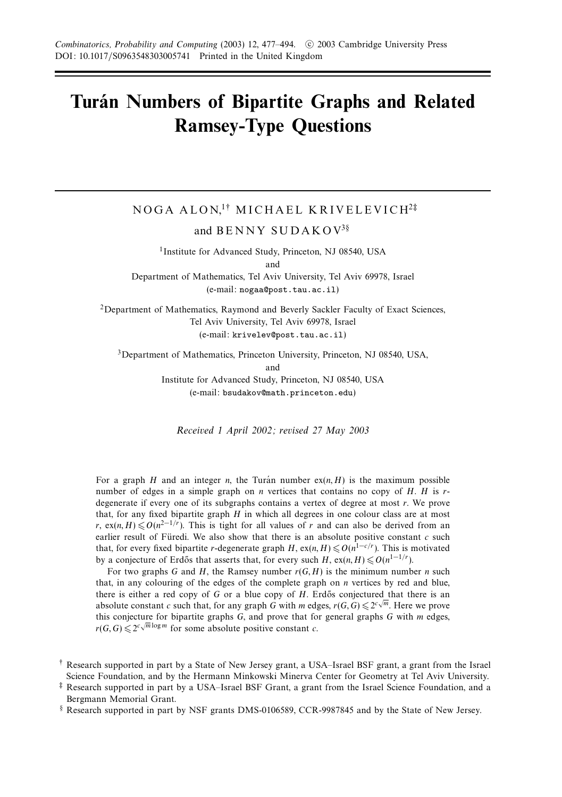## **Turan Numbers of Bipartite Graphs and Related ´ Ramsey-Type Questions**

# NOGA ALON,<sup>1†</sup> MICHAEL KRIVELEVICH<sup>2‡</sup>

and BENNY SUDAKOV<sup>3</sup>§

<sup>1</sup>Institute for Advanced Study, Princeton, NJ 08540, USA and Department of Mathematics, Tel Aviv University, Tel Aviv 69978, Israel

(e-mail: nogaa@post.tau.ac.il)

2Department of Mathematics, Raymond and Beverly Sackler Faculty of Exact Sciences, Tel Aviv University, Tel Aviv 69978, Israel (e-mail: krivelev@post.tau.ac.il)

<sup>3</sup>Department of Mathematics, Princeton University, Princeton, NJ 08540, USA, and Institute for Advanced Study, Princeton, NJ 08540, USA

(e-mail: bsudakov@math.princeton.edu)

Received 1 April 2002; revised 27 May 2003

For a graph *H* and an integer *n*, the Turan number  $ex(n, H)$  is the maximum possible number of edges in a simple graph on *n* vertices that contains no copy of *H*. *H* is *r*degenerate if every one of its subgraphs contains a vertex of degree at most *r*. We prove that, for any fixed bipartite graph *H* in which all degrees in one colour class are at most *r*, ex(*n, H*)  $\leq O(n^{2-1/r})$ . This is tight for all values of *r* and can also be derived from an earlier result of Füredi. We also show that there is an absolute positive constant  $c$  such that, for every fixed bipartite *r*-degenerate graph *H*, ex(*n*, *H*)  $\leq O(n^{1-c/r})$ . This is motivated by a conjecture of Erdős that asserts that, for every such *H*, ex(*n, H*)  $\leq O(n^{1-1/r})$ .

For two graphs *G* and *H*, the Ramsey number *r*(*G, H*) is the minimum number *n* such that, in any colouring of the edges of the complete graph on *n* vertices by red and blue, there is either a red copy of *G* or a blue copy of *H*. Erdős conjectured that there is an absolute constant *c* such that, for any graph *G* with *m* edges,  $r(G, G) \leq 2^{c\sqrt{m}}$ . Here we prove this conjecture for bipartite graphs *G*, and prove that for general graphs *G* with *m* edges, *r*(*G, G*)  $\leq 2^{c\sqrt{m}\log m}$  for some absolute positive constant *c*.

<sup>†</sup> Research supported in part by a State of New Jersey grant, a USA–Israel BSF grant, a grant from the Israel Science Foundation, and by the Hermann Minkowski Minerva Center for Geometry at Tel Aviv University.

<sup>‡</sup> Research supported in part by a USA–Israel BSF Grant, a grant from the Israel Science Foundation, and a Bergmann Memorial Grant.

<sup>§</sup> Research supported in part by NSF grants DMS-0106589, CCR-9987845 and by the State of New Jersey.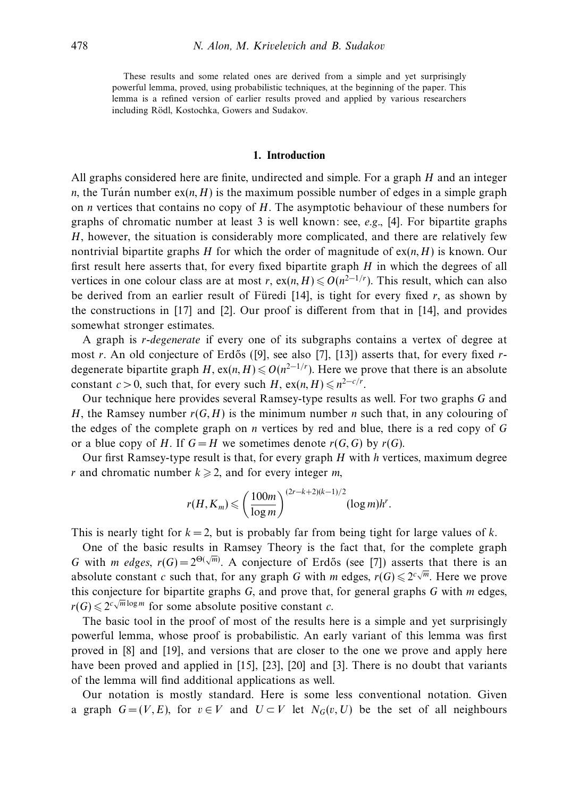These results and some related ones are derived from a simple and yet surprisingly powerful lemma, proved, using probabilistic techniques, at the beginning of the paper. This lemma is a refined version of earlier results proved and applied by various researchers including Rödl, Kostochka, Gowers and Sudakov.

#### **1. Introduction**

All graphs considered here are finite, undirected and simple. For a graph *H* and an integer *n*, the Turán number  $ex(n, H)$  is the maximum possible number of edges in a simple graph on *n* vertices that contains no copy of *H*. The asymptotic behaviour of these numbers for graphs of chromatic number at least 3 is well known: see,  $e.g.,$  [4]. For bipartite graphs *H*, however, the situation is considerably more complicated, and there are relatively few nontrivial bipartite graphs *H* for which the order of magnitude of  $ex(n, H)$  is known. Our first result here asserts that, for every fixed bipartite graph *H* in which the degrees of all vertices in one colour class are at most *r*,  $ex(n, H) \le O(n^{2-1/r})$ . This result, which can also be derived from an earlier result of Füredi  $[14]$ , is tight for every fixed r, as shown by the constructions in [17] and [2]. Our proof is different from that in [14], and provides somewhat stronger estimates.

A graph is *r*-degenerate if every one of its subgraphs contains a vertex of degree at most *r*. An old conjecture of Erdős ([9], see also [7], [13]) asserts that, for every fixed *r*degenerate bipartite graph *H*, ex(*n, H*)  $\leq O(n^{2-1/r})$ . Here we prove that there is an absolute constant *c* > 0, such that, for every such *H*,  $ex(n, H) \leq n^{2-c/r}$ .

Our technique here provides several Ramsey-type results as well. For two graphs *G* and *H*, the Ramsey number  $r(G, H)$  is the minimum number *n* such that, in any colouring of the edges of the complete graph on *n* vertices by red and blue, there is a red copy of *G* or a blue copy of *H*. If  $G = H$  we sometimes denote  $r(G, G)$  by  $r(G)$ .

Our first Ramsey-type result is that, for every graph *H* with *h* vertices, maximum degree *r* and chromatic number  $k \ge 2$ , and for every integer *m*,

$$
r(H, K_m) \leqslant \left(\frac{100m}{\log m}\right)^{(2r-k+2)(k-1)/2} (\log m)h^r.
$$

This is nearly tight for  $k = 2$ , but is probably far from being tight for large values of  $k$ .

One of the basic results in Ramsey Theory is the fact that, for the complete graph *G* with *m* edges,  $r(G) = 2^{\Theta(\sqrt{m})}$ . A conjecture of Erdős (see [7]) asserts that there is an absolute constant *c* such that, for any graph *G* with *m* edges,  $r(G) \le 2^{c\sqrt{m}}$ . Here we prove this conjecture for bipartite graphs *G*, and prove that, for general graphs *G* with *m* edges,  $r(G) \leq 2^{c\sqrt{m}\log m}$  for some absolute positive constant *c*.

The basic tool in the proof of most of the results here is a simple and yet surprisingly powerful lemma, whose proof is probabilistic. An early variant of this lemma was first proved in [8] and [19], and versions that are closer to the one we prove and apply here have been proved and applied in [15], [23], [20] and [3]. There is no doubt that variants of the lemma will find additional applications as well.

Our notation is mostly standard. Here is some less conventional notation. Given a graph  $G = (V, E)$ , for  $v \in V$  and  $U \subset V$  let  $N_G(v, U)$  be the set of all neighbours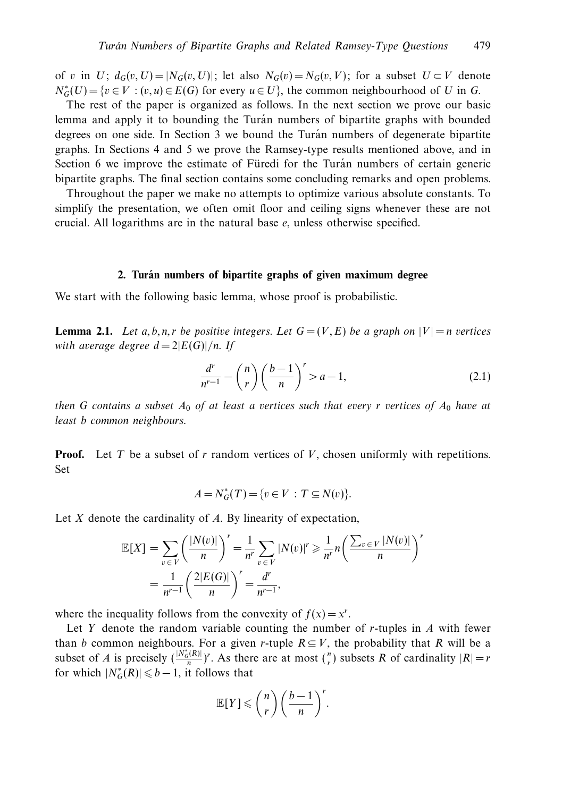of *v* in *U*;  $d_G(v, U) = |N_G(v, U)|$ ; let also  $N_G(v) = N_G(v, V)$ ; for a subset  $U \subset V$  denote  $N_G^*(U) = \{v \in V : (v, u) \in E(G) \text{ for every } u \in U\}$ , the common neighbourhood of *U* in *G*.

The rest of the paper is organized as follows. In the next section we prove our basic lemma and apply it to bounding the Turan numbers of bipartite graphs with bounded degrees on one side. In Section 3 we bound the Turán numbers of degenerate bipartite graphs. In Sections 4 and 5 we prove the Ramsey-type results mentioned above, and in Section 6 we improve the estimate of Füredi for the Turán numbers of certain generic bipartite graphs. The final section contains some concluding remarks and open problems.

Throughout the paper we make no attempts to optimize various absolute constants. To simplify the presentation, we often omit floor and ceiling signs whenever these are not crucial. All logarithms are in the natural base *e*, unless otherwise specified.

#### **2. Turan numbers of bipartite graphs of given maximum degree ´**

We start with the following basic lemma, whose proof is probabilistic.

**Lemma 2.1.** Let a, b, n, r be positive integers. Let  $G = (V, E)$  be a graph on  $|V| = n$  vertices with average degree  $d = 2|E(G)|/n$ . If

$$
\frac{d^r}{n^{r-1}} - \binom{n}{r} \left(\frac{b-1}{n}\right)^r > a-1,\tag{2.1}
$$

then *G* contains a subset  $A_0$  of at least a vertices such that every *r* vertices of  $A_0$  have at least *b* common neighbours.

**Proof.** Let *T* be a subset of *r* random vertices of *V*, chosen uniformly with repetitions. Set

$$
A = N_G^*(T) = \{ v \in V : T \subseteq N(v) \}.
$$

Let *X* denote the cardinality of *A*. By linearity of expectation,

$$
\mathbb{E}[X] = \sum_{v \in V} \left(\frac{|N(v)|}{n}\right)^r = \frac{1}{n^r} \sum_{v \in V} |N(v)|^r \ge \frac{1}{n^r} n \left(\frac{\sum_{v \in V} |N(v)|}{n}\right)^r
$$

$$
= \frac{1}{n^{r-1}} \left(\frac{2|E(G)|}{n}\right)^r = \frac{d^r}{n^{r-1}},
$$

where the inequality follows from the convexity of  $f(x) = x^r$ .

Let *Y* denote the random variable counting the number of *r*-tuples in *A* with fewer than *b* common neighbours. For a given *r*-tuple  $R \subseteq V$ , the probability that *R* will be a subset of *A* is precisely  $(\frac{|N_G^*(R)|}{n})^r$ . As there are at most  $\binom{n}{r}$  subsets *R* of cardinality  $|R| = r$ for which  $|N_G^*(R)| \leq b - 1$ , it follows that

$$
\mathbb{E}[Y] \leqslant {n \choose r} \left(\frac{b-1}{n}\right)^r.
$$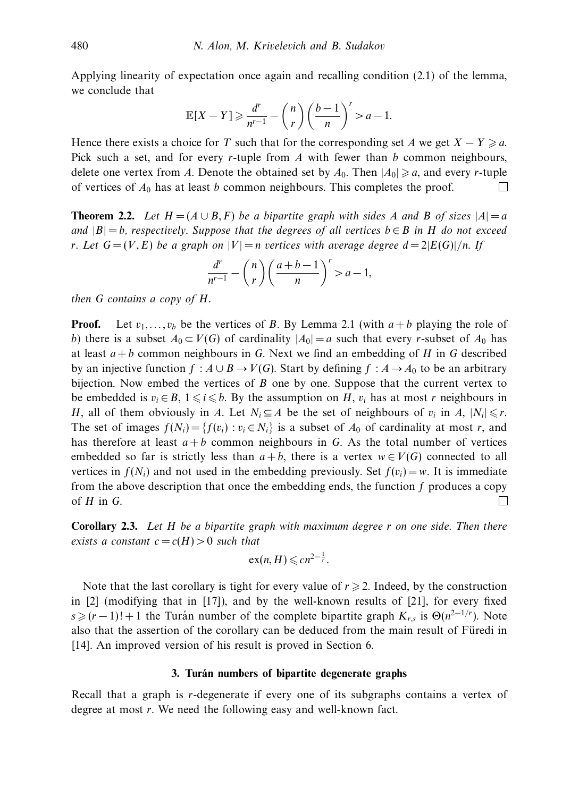Applying linearity of expectation once again and recalling condition (2.1) of the lemma, we conclude that

$$
\mathbb{E}[X-Y] \geq \frac{d^r}{n^{r-1}} - \binom{n}{r} \left(\frac{b-1}{n}\right)^r > a-1.
$$

Hence there exists a choice for *T* such that for the corresponding set *A* we get  $X - Y \ge a$ . Pick such a set, and for every *r*-tuple from *A* with fewer than *b* common neighbours, delete one vertex from *A*. Denote the obtained set by  $A_0$ . Then  $|A_0| \ge a$ , and every *r*-tuple of vertices of *A*<sup>0</sup> has at least *b* common neighbours. This completes the proof. П

**Theorem 2.2.** Let  $H = (A \cup B, F)$  be a bipartite graph with sides *A* and *B* of sizes  $|A| = a$ and  $|B| = b$ , respectively. Suppose that the degrees of all vertices  $b \in B$  in *H* do not exceed *r*. Let  $G = (V, E)$  be a graph on  $|V| = n$  vertices with average degree  $d = 2|E(G)|/n$ . If

$$
\frac{d^r}{n^{r-1}} - \binom{n}{r} \left(\frac{a+b-1}{n}\right)^r > a-1,
$$

then *G* contains a copy of *H*.

**Proof.** Let  $v_1, \ldots, v_b$  be the vertices of *B*. By Lemma 2.1 (with  $a + b$  playing the role of *b*) there is a subset  $A_0 \subset V(G)$  of cardinality  $|A_0| = a$  such that every *r*-subset of  $A_0$  has at least *a* + *b* common neighbours in *G*. Next we find an embedding of *H* in *G* described by an injective function  $f : A \cup B \rightarrow V(G)$ . Start by defining  $f : A \rightarrow A_0$  to be an arbitrary bijection. Now embed the vertices of *B* one by one. Suppose that the current vertex to be embedded is  $v_i \in B$ ,  $1 \leq i \leq b$ . By the assumption on *H*,  $v_i$  has at most *r* neighbours in *H*, all of them obviously in *A*. Let  $N_i \subseteq A$  be the set of neighbours of  $v_i$  in *A*,  $|N_i| \le r$ . The set of images  $f(N_i) = \{f(v_i) : v_i \in N_i\}$  is a subset of  $A_0$  of cardinality at most *r*, and has therefore at least  $a + b$  common neighbours in *G*. As the total number of vertices embedded so far is strictly less than  $a + b$ , there is a vertex  $w \in V(G)$  connected to all vertices in  $f(N_i)$  and not used in the embedding previously. Set  $f(v_i) = w$ . It is immediate from the above description that once the embedding ends, the function *f* produces a copy of *H* in *G*. П

**Corollary 2.3.** Let *H* be a bipartite graph with maximum degree *r* on one side. Then there exists a constant  $c = c(H) > 0$  such that

$$
ex(n, H) \leqslant cn^{2-\frac{1}{r}}.
$$

Note that the last corollary is tight for every value of  $r \geq 2$ . Indeed, by the construction in [2] (modifying that in [17]), and by the well-known results of [21], for every fixed  $s \ge (r-1)! + 1$  the Turan number of the complete bipartite graph  $K_{r,s}$  is  $\Theta(n^{2-1/r})$ . Note also that the assertion of the corollary can be deduced from the main result of Füredi in [14]. An improved version of his result is proved in Section 6.

#### **3. Turan numbers of bipartite degenerate graphs ´**

Recall that a graph is *r*-degenerate if every one of its subgraphs contains a vertex of degree at most *r*. We need the following easy and well-known fact.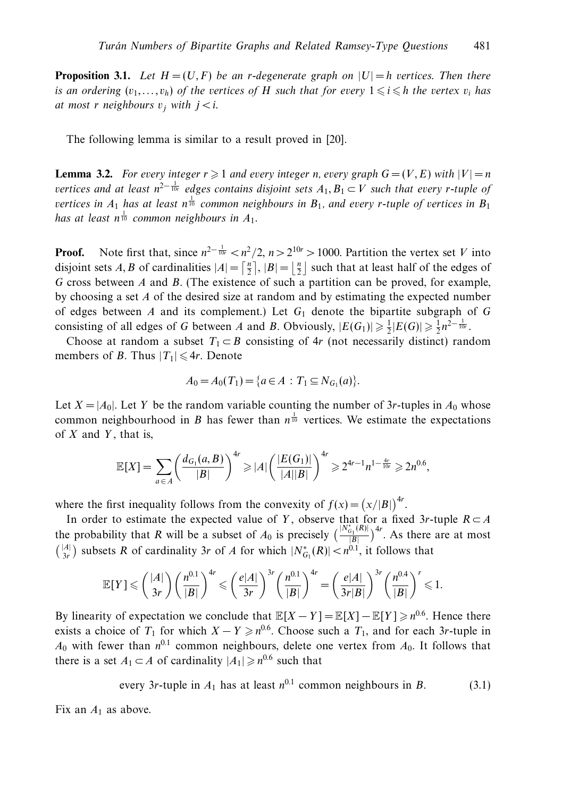**Proposition 3.1.** Let  $H = (U, F)$  be an *r*-degenerate graph on  $|U| = h$  vertices. Then there is an ordering  $(v_1, \ldots, v_h)$  of the vertices of *H* such that for every  $1 \leq i \leq h$  the vertex  $v_i$  has at most *r* neighbours  $v_i$  with  $j < i$ .

The following lemma is similar to a result proved in [20].

**Lemma 3.2.** For every integer  $r \geq 1$  and every integer *n*, every graph  $G = (V, E)$  with  $|V| = n$  $v$ ertices and at least n<sup>2−1</sup><sup>1</sup> edges contains disjoint sets  $A_1, B_1 \subset V$  such that every *r*-tuple of vertices in  $A_1$  has at least  $n^{\frac{1}{10}}$  common neighbours in  $B_1$ , and every *r*-tuple of vertices in  $B_1$ has at least  $n^{\frac{1}{10}}$  common neighbours in  $A_1$ .

**Proof.** Note first that, since  $n^{2-\frac{1}{10r}} < n^2/2$ ,  $n > 2^{10r} > 1000$ . Partition the vertex set *V* into disjoint sets *A*, *B* of cardinalities  $|A| = \left[\frac{n}{2}\right], |B| = \left\lfloor \frac{n}{2} \right\rfloor$  such that at least half of the edges of *G* cross between *A* and *B*. (The existence of such a partition can be proved, for example, by choosing a set *A* of the desired size at random and by estimating the expected number of edges between *A* and its complement.) Let  $G_1$  denote the bipartite subgraph of  $G$ consisting of all edges of *G* between *A* and *B*. Obviously,  $|E(G_1)| \ge \frac{1}{2}|E(G)| \ge \frac{1}{2}n^{2-\frac{1}{10r}}$ .

Choose at random a subset  $T_1 \subset B$  consisting of 4*r* (not necessarily distinct) random members of *B*. Thus  $|T_1| \le 4r$ . Denote

$$
A_0 = A_0(T_1) = \{a \in A : T_1 \subseteq N_{G_1}(a)\}.
$$

Let  $X = |A_0|$ . Let *Y* be the random variable counting the number of 3*r*-tuples in  $A_0$  whose common neighbourhood in *B* has fewer than  $n^{\frac{1}{10}}$  vertices. We estimate the expectations of *X* and *Y* , that is,

$$
\mathbb{E}[X] = \sum_{a \in A} \left( \frac{d_{G_1}(a, B)}{|B|} \right)^{4r} \geqslant |A| \left( \frac{|E(G_1)|}{|A||B|} \right)^{4r} \geqslant 2^{4r-1} n^{1-\frac{4r}{10r}} \geqslant 2n^{0.6},
$$

where the first inequality follows from the convexity of  $f(x) = (x/|B|)^{4r}$ .

In order to estimate the expected value of *Y*, observe that for a fixed 3*r*-tuple  $R \subset A$ the probability that *R* will be a subset of  $A_0$  is precisely  $\left(\frac{|N_{G_1}^*(R)|}{|R|}\right)$  $\frac{f_{G_1}(R)|}{|B|}$ <sup>4*r*</sup>. As there are at most  $\binom{|A|}{3r}$  subsets *R* of cardinality 3*r* of *A* for which  $|N^*_{G_1}(R)| < n^{0.1}$ , it follows that

$$
\mathbb{E}[Y] \leqslant {\binom{|A|}{3r}} {\binom{n^{0.1}}{|B|}}^{4r} \leqslant {\left(\frac{e|A|}{3r}\right)^{3r}} {\binom{n^{0.1}}{|B|}}^{4r} = {\left(\frac{e|A|}{3r|B|}\right)^{3r}} {\binom{n^{0.4}}{|B|}}^r \leqslant 1.
$$

By linearity of expectation we conclude that  $\mathbb{E}[X - Y] = \mathbb{E}[X] - \mathbb{E}[Y] \geq n^{0.6}$ . Hence there exists a choice of  $T_1$  for which  $X - Y \geq n^{0.6}$ . Choose such a  $T_1$ , and for each 3*r*-tuple in  $A_0$  with fewer than  $n^{0.1}$  common neighbours, delete one vertex from  $A_0$ . It follows that there is a set  $A_1 \subset A$  of cardinality  $|A_1| \geq n^{0.6}$  such that

every 3r-tuple in 
$$
A_1
$$
 has at least  $n^{0.1}$  common neighbours in B. (3.1)

Fix an  $A_1$  as above.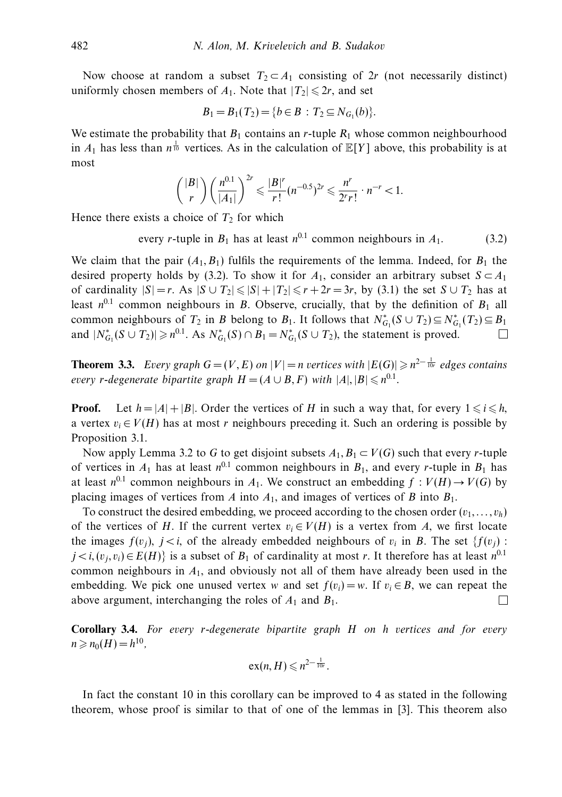Now choose at random a subset  $T_2 \subset A_1$  consisting of 2*r* (not necessarily distinct) uniformly chosen members of  $A_1$ . Note that  $|T_2| \le 2r$ , and set

$$
B_1=B_1(T_2)=\{b\in B\,:\, T_2\subseteq N_{G_1}(b)\}.
$$

We estimate the probability that  $B_1$  contains an *r*-tuple  $R_1$  whose common neighbourhood in  $A_1$  has less than  $n^{\frac{1}{10}}$  vertices. As in the calculation of  $\mathbb{E}[Y]$  above, this probability is at most

$$
{|B| \choose r} \left(\frac{n^{0.1}}{|A_1|}\right)^{2r} \leqslant \frac{|B|^r}{r!} (n^{-0.5})^{2r} \leqslant \frac{n^r}{2^r r!} \cdot n^{-r} < 1.
$$

Hence there exists a choice of  $T_2$  for which

every *r*-tuple in  $B_1$  has at least  $n^{0.1}$  common neighbours in  $A_1$ . (3.2)

We claim that the pair  $(A_1, B_1)$  fulfils the requirements of the lemma. Indeed, for  $B_1$  the desired property holds by (3.2). To show it for  $A_1$ , consider an arbitrary subset  $S \subset A_1$ of cardinality  $|S| = r$ . As  $|S \cup T_2| \le |S| + |T_2| \le r + 2r = 3r$ , by (3.1) the set  $S \cup T_2$  has at least  $n^{0.1}$  common neighbours in *B*. Observe, crucially, that by the definition of  $B_1$  all common neighbours of  $T_2$  in *B* belong to  $B_1$ . It follows that  $N_{G_1}^*(S \cup T_2) \subseteq N_{G_1}^*(T_2) \subseteq B_1$ and  $|N_{G_1}^*(S \cup T_2)| \ge n^{0.1}$ . As  $N_{G_1}^*(S) \cap B_1 = N_{G_1}^*(S \cup T_2)$ , the statement is proved. П

**Theorem 3.3.** Every graph  $G = (V, E)$  on  $|V| = n$  vertices with  $|E(G)| \ge n^{2 - \frac{1}{10r}}$  edges contains every *r*-degenerate bipartite graph  $H = (A \cup B, F)$  with  $|A|, |B| \le n^{0.1}$ .

**Proof.** Let  $h = |A| + |B|$ . Order the vertices of *H* in such a way that, for every  $1 \le i \le h$ , a vertex  $v_i \in V(H)$  has at most *r* neighbours preceding it. Such an ordering is possible by Proposition 3.1.

Now apply Lemma 3.2 to *G* to get disjoint subsets  $A_1, B_1 \subset V(G)$  such that every *r*-tuple of vertices in  $A_1$  has at least  $n^{0.1}$  common neighbours in  $B_1$ , and every *r*-tuple in  $B_1$  has at least  $n^{0.1}$  common neighbours in  $A_1$ . We construct an embedding  $f : V(H) \to V(G)$  by placing images of vertices from  $A$  into  $A_1$ , and images of vertices of  $B$  into  $B_1$ .

To construct the desired embedding, we proceed according to the chosen order  $(v_1, \ldots, v_h)$ of the vertices of *H*. If the current vertex  $v_i \in V(H)$  is a vertex from *A*, we first locate the images  $f(v_i)$ ,  $j < i$ , of the already embedded neighbours of  $v_i$  in *B*. The set  $\{f(v_i)$ : *j* < *i*,  $(v_j, v_i)$  ∈  $E(H)$ } is a subset of  $B_1$  of cardinality at most *r*. It therefore has at least  $n^{0.1}$ common neighbours in *A*1, and obviously not all of them have already been used in the embedding. We pick one unused vertex *w* and set  $f(v_i) = w$ . If  $v_i \in B$ , we can repeat the above argument, interchanging the roles of *A*<sup>1</sup> and *B*1. □

**Corollary 3.4.** For every *r*-degenerate bipartite graph *H* on *h* vertices and for every  $n \geq n_0(H) = h^{10}$ ,

$$
\mathrm{ex}(n,H)\leqslant n^{2-\frac{1}{10r}}.
$$

In fact the constant 10 in this corollary can be improved to 4 as stated in the following theorem, whose proof is similar to that of one of the lemmas in [3]. This theorem also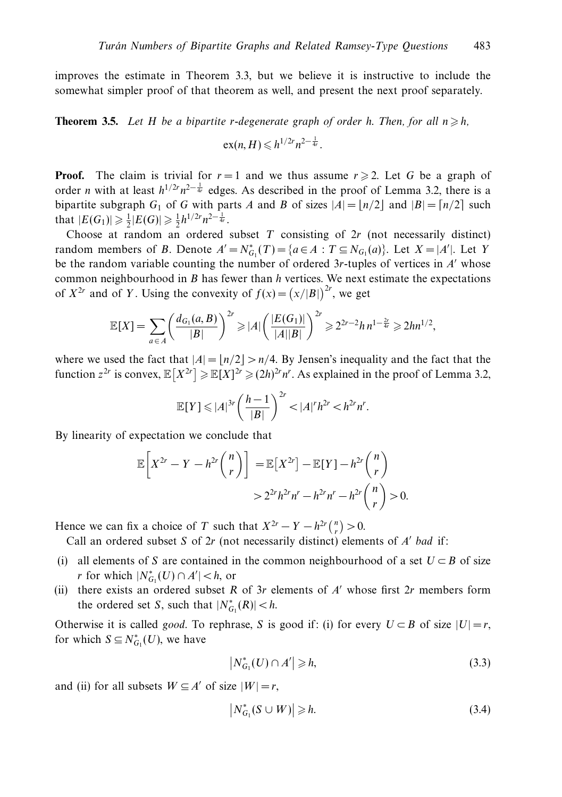improves the estimate in Theorem 3.3, but we believe it is instructive to include the somewhat simpler proof of that theorem as well, and present the next proof separately.

**Theorem 3.5.** Let H be a bipartite r-degenerate graph of order h. Then, for all  $n \geq h$ ,

$$
ex(n, H) \leqslant h^{1/2r} n^{2-\frac{1}{4r}}.
$$

**Proof.** The claim is trivial for  $r = 1$  and we thus assume  $r \ge 2$ . Let G be a graph of order *n* with at least  $h^{1/2r}n^{2-\frac{1}{4r}}$  edges. As described in the proof of Lemma 3.2, there is a bipartite subgraph  $G_1$  of  $G$  with parts  $A$  and  $B$  of sizes  $|A| = \lfloor n/2 \rfloor$  and  $|B| = \lfloor n/2 \rfloor$  such that  $|E(G_1)| \geq \frac{1}{2}|E(G)| \geq \frac{1}{2}h^{1/2r}n^{2-\frac{1}{4r}}$ .

Choose at random an ordered subset *T* consisting of 2*r* (not necessarily distinct) random members of *B*. Denote  $A' = N_{G_1}^*(T) = \{a \in A : T \subseteq N_{G_1}(a)\}$ . Let  $X = |A'|$ . Let *Y* be the random variable counting the number of ordered 3*r*-tuples of vertices in *A* whose common neighbourhood in *B* has fewer than *h* vertices. We next estimate the expectations of  $X^{2r}$  and of *Y*. Using the convexity of  $f(x) = (x/|B|)^{2r}$ , we get

$$
\mathbb{E}[X] = \sum_{a \in A} \left( \frac{d_{G_1}(a, B)}{|B|} \right)^{2r} \geq |A| \left( \frac{|E(G_1)|}{|A||B|} \right)^{2r} \geq 2^{2r-2} h n^{1-\frac{2r}{4r}} \geq 2hn^{1/2},
$$

where we used the fact that  $|A| = \lfloor n/2 \rfloor > n/4$ . By Jensen's inequality and the fact that the function  $z^{2r}$  is convex,  $\mathbb{E}[X^{2r}] \geq \mathbb{E}[X]^{2r} \geq (2h)^{2r} n^r$ . As explained in the proof of Lemma 3.2,

$$
\mathbb{E}[Y] \leqslant |A|^{3r} \left(\frac{h-1}{|B|}\right)^{2r} < |A|^r h^{2r} < h^{2r} n^r.
$$

By linearity of expectation we conclude that

$$
\mathbb{E}\left[X^{2r} - Y - h^{2r}\binom{n}{r}\right] = \mathbb{E}\left[X^{2r}\right] - \mathbb{E}\left[Y\right] - h^{2r}\binom{n}{r}
$$

$$
> 2^{2r}h^{2r}n^r - h^{2r}n^r - h^{2r}\binom{n}{r} > 0.
$$

Hence we can fix a choice of *T* such that  $X^{2r} - Y - h^{2r} \binom{n}{r} > 0$ .

Call an ordered subset *S* of 2*r* (not necessarily distinct) elements of *A* bad if:

- (i) all elements of *S* are contained in the common neighbourhood of a set  $U \subset B$  of size *r* for which  $|N^*_{G_1}(U) \cap A'| < h$ , or
- (ii) there exists an ordered subset *R* of 3*r* elements of  $A'$  whose first  $2r$  members form the ordered set *S*, such that  $|N^*_{G_1}(R)| < h$ .

Otherwise it is called *good*. To rephrase, *S* is good if: (i) for every  $U \subset B$  of size  $|U| = r$ , for which  $S \subseteq N^*_{G_1}(U)$ , we have

$$
\left|N_{G_1}^*(U)\cap A'\right|\geqslant h,\tag{3.3}
$$

and (ii) for all subsets  $W \subseteq A'$  of size  $|W| = r$ ,

$$
\left|N_{G_1}^*(S\cup W)\right|\geq h. \tag{3.4}
$$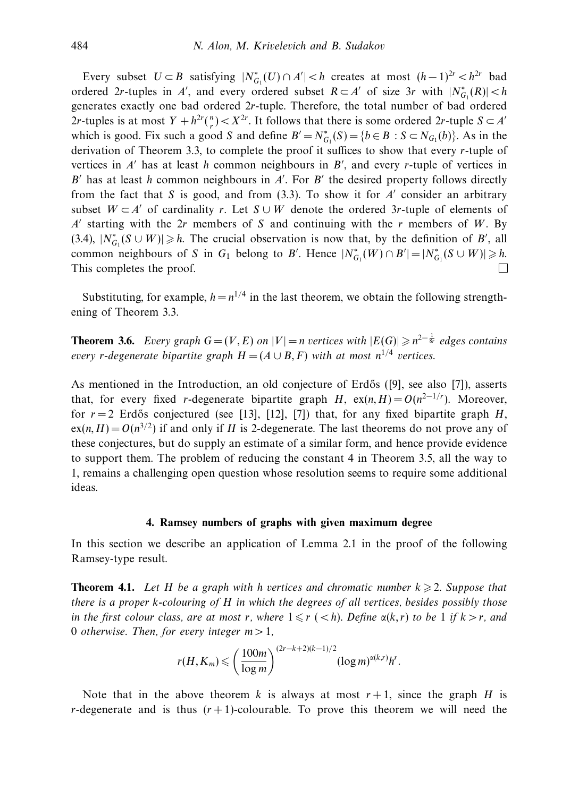Every subset  $U \subset B$  satisfying  $|N_{G_1}^*(U) \cap A'| < h$  creates at most  $(h-1)^{2r} < h^{2r}$  bad ordered 2*r*-tuples in *A'*, and every ordered subset  $R \subset A'$  of size 3*r* with  $|N^*_{G_1}(R)| < h$ generates exactly one bad ordered 2*r*-tuple. Therefore, the total number of bad ordered 2*r*-tuples is at most  $Y + h^{2r} \binom{n}{r} < X^{2r}$ . It follows that there is some ordered 2*r*-tuple  $S \subset A'$ which is good. Fix such a good *S* and define  $B' = N_{G_1}^*(S) = \{b \in B : S \subset N_{G_1}(b)\}$ . As in the derivation of Theorem 3.3, to complete the proof it suffices to show that every *r*-tuple of vertices in  $A'$  has at least  $h$  common neighbours in  $B'$ , and every  $r$ -tuple of vertices in  $B'$  has at least *h* common neighbours in  $A'$ . For  $B'$  the desired property follows directly from the fact that *S* is good, and from (3.3). To show it for *A* consider an arbitrary subset  $W \subset A'$  of cardinality *r*. Let  $S \cup W$  denote the ordered 3*r*-tuple of elements of  $A'$  starting with the 2*r* members of *S* and continuing with the *r* members of *W*. By (3.4),  $|N_{G_1}^*(S \cup W)| \geq h$ . The crucial observation is now that, by the definition of *B'*, all common neighbours of *S* in *G*<sub>1</sub> belong to *B*'. Hence  $|N^*_{G_1}(W) \cap B'| = |N^*_{G_1}(S \cup W)| \ge h$ . This completes the proof.

Substituting, for example,  $h = n^{1/4}$  in the last theorem, we obtain the following strengthening of Theorem 3.3.

**Theorem 3.6.** Every graph  $G = (V, E)$  on  $|V| = n$  vertices with  $|E(G)| \geq n^{2-\frac{1}{8r}}$  edges contains every *r*-degenerate bipartite graph  $H = (A \cup B, F)$  with at most  $n^{1/4}$  vertices.

As mentioned in the Introduction, an old conjecture of Erdős ([9], see also [7]), asserts that, for every fixed *r*-degenerate bipartite graph *H*,  $ex(n, H) = O(n^{2-1/r})$ . Moreover, for  $r = 2$  Erdős conjectured (see [13], [12], [7]) that, for any fixed bipartite graph *H*,  $ex(n, H) = O(n^{3/2})$  if and only if *H* is 2-degenerate. The last theorems do not prove any of these conjectures, but do supply an estimate of a similar form, and hence provide evidence to support them. The problem of reducing the constant 4 in Theorem 3.5, all the way to 1, remains a challenging open question whose resolution seems to require some additional ideas.

### **4. Ramsey numbers of graphs with given maximum degree**

In this section we describe an application of Lemma 2.1 in the proof of the following Ramsey-type result.

**Theorem 4.1.** Let H be a graph with *h* vertices and chromatic number  $k \geqslant 2$ . Suppose that there is a proper *k*-colouring of *H* in which the degrees of all vertices, besides possibly those in the first colour class, are at most *r*, where  $1 \leq r \leq h$ ). Define  $\alpha(k, r)$  to be 1 if  $k > r$ , and 0 otherwise. Then, for every integer *m >* 1,

$$
r(H, K_m) \leqslant \left(\frac{100m}{\log m}\right)^{(2r-k+2)(k-1)/2} (\log m)^{\alpha(k,r)} h^r.
$$

Note that in the above theorem *k* is always at most  $r + 1$ , since the graph *H* is *r*-degenerate and is thus  $(r+1)$ -colourable. To prove this theorem we will need the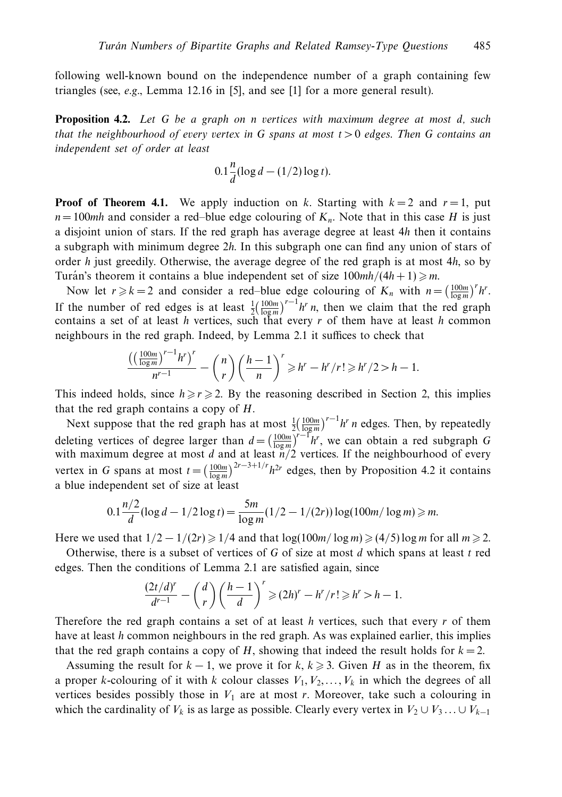following well-known bound on the independence number of a graph containing few triangles (see, *e.g.*, Lemma 12.16 in [5], and see [1] for a more general result).

**Proposition 4.2.** Let *G* be a graph on *n* vertices with maximum degree at most *d*, such that the neighbourhood of every vertex in *G* spans at most *t >* 0 edges. Then *G* contains an independent set of order at least

$$
0.1\frac{n}{d}(\log d - (1/2)\log t).
$$

**Proof of Theorem 4.1.** We apply induction on *k*. Starting with  $k = 2$  and  $r = 1$ , put  $n = 100mh$  and consider a red–blue edge colouring of  $K_n$ . Note that in this case *H* is just a disjoint union of stars. If the red graph has average degree at least 4*h* then it contains a subgraph with minimum degree 2*h*. In this subgraph one can find any union of stars of order *h* just greedily. Otherwise, the average degree of the red graph is at most 4*h*, so by Turán's theorem it contains a blue independent set of size  $100mh/(4h + 1) \ge m$ .

Now let  $r \ge k = 2$  and consider a red–blue edge colouring of  $K_n$  with  $n = \left(\frac{100m}{\log m}\right)^r h^r$ . If the number of red edges is at least  $\frac{1}{2} \left( \frac{100m}{\log m} \right)^{r-1} h^r n$ , then we claim that the red graph contains a set of at least *h* vertices, such that every *r* of them have at least *h* common neighbours in the red graph. Indeed, by Lemma 2.1 it suffices to check that

$$
\frac{\left(\left(\frac{100m}{\log m}\right)^{r-1}h^r\right)^r}{n^{r-1}} - {n \choose r}\left(\frac{h-1}{n}\right)^r \geqslant h^r - h^r/r! \geqslant h^r/2 > h-1.
$$

This indeed holds, since  $h \ge r \ge 2$ . By the reasoning described in Section 2, this implies that the red graph contains a copy of *H*.

Next suppose that the red graph has at most  $\frac{1}{2}(\frac{100m}{\log m})^{r-1}h^r$  *n* edges. Then, by repeatedly deleting vertices of degree larger than  $d = \left(\frac{100m}{\log m}\right)^{r-1} h^r$ , we can obtain a red subgraph *G* with maximum degree at most *d* and at least *n/*2 vertices. If the neighbourhood of every vertex in *G* spans at most  $t = \left(\frac{100m}{\log m}\right)^{2r-3+1/r} h^{2r}$  edges, then by Proposition 4.2 it contains a blue independent set of size at least

$$
0.1\frac{n/2}{d}(\log d - 1/2\log t) = \frac{5m}{\log m}(1/2 - 1/(2r))\log(100m/\log m) \ge m.
$$

Here we used that  $1/2 - 1/(2r) \geq 1/4$  and that  $\log(100m/\log m) \geq (4/5) \log m$  for all  $m \geq 2$ .

Otherwise, there is a subset of vertices of *G* of size at most *d* which spans at least *t* red edges. Then the conditions of Lemma 2.1 are satisfied again, since

$$
\frac{(2t/d)^r}{d^{r-1}} - {d \choose r} \left(\frac{h-1}{d}\right)^r \geqslant (2h)^r - h^r/r! \geqslant h^r > h - 1.
$$

Therefore the red graph contains a set of at least *h* vertices, such that every *r* of them have at least *h* common neighbours in the red graph. As was explained earlier, this implies that the red graph contains a copy of *H*, showing that indeed the result holds for  $k = 2$ .

Assuming the result for  $k - 1$ , we prove it for  $k, k \geq 3$ . Given *H* as in the theorem, fix a proper *k*-colouring of it with *k* colour classes  $V_1, V_2, \ldots, V_k$  in which the degrees of all vertices besides possibly those in  $V_1$  are at most  $r$ . Moreover, take such a colouring in which the cardinality of  $V_k$  is as large as possible. Clearly every vertex in  $V_2 \cup V_3 \ldots \cup V_{k-1}$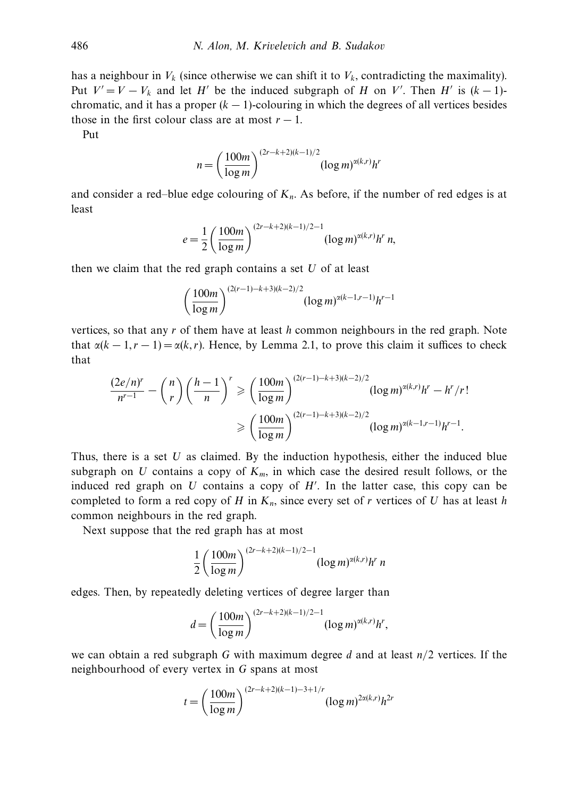has a neighbour in  $V_k$  (since otherwise we can shift it to  $V_k$ , contradicting the maximality). Put  $V' = V - V_k$  and let *H'* be the induced subgraph of *H* on *V'*. Then *H'* is  $(k - 1)$ chromatic, and it has a proper  $(k - 1)$ -colouring in which the degrees of all vertices besides those in the first colour class are at most  $r - 1$ .

Put

$$
n = \left(\frac{100m}{\log m}\right)^{(2r-k+2)(k-1)/2} (\log m)^{\alpha(k,r)} h^r
$$

and consider a red–blue edge colouring of  $K_n$ . As before, if the number of red edges is at least

$$
e = \frac{1}{2} \left( \frac{100m}{\log m} \right)^{(2r-k+2)(k-1)/2 - 1} (\log m)^{\alpha(k,r)} h^r n,
$$

then we claim that the red graph contains a set *U* of at least

$$
\left(\frac{100m}{\log m}\right)^{(2(r-1)-k+3)(k-2)/2} (\log m)^{\alpha(k-1,r-1)}h^{r-1}
$$

vertices, so that any *r* of them have at least *h* common neighbours in the red graph. Note that  $\alpha(k-1, r-1) = \alpha(k, r)$ . Hence, by Lemma 2.1, to prove this claim it suffices to check that

$$
\frac{(2e/n)^r}{n^{r-1}} - {n \choose r} \left(\frac{h-1}{n}\right)^r \ge \left(\frac{100m}{\log m}\right)^{(2(r-1)-k+3)(k-2)/2} (\log m)^{\alpha(k,r)}h^r - h^r/r!
$$
  

$$
\ge \left(\frac{100m}{\log m}\right)^{(2(r-1)-k+3)(k-2)/2} (\log m)^{\alpha(k-1,r-1)}h^{r-1}.
$$

Thus, there is a set *U* as claimed. By the induction hypothesis, either the induced blue subgraph on *U* contains a copy of  $K_m$ , in which case the desired result follows, or the induced red graph on *U* contains a copy of *H* . In the latter case, this copy can be completed to form a red copy of *H* in  $K_n$ , since every set of *r* vertices of *U* has at least *h* common neighbours in the red graph.

Next suppose that the red graph has at most

$$
\frac{1}{2} \left( \frac{100m}{\log m} \right)^{(2r-k+2)(k-1)/2 - 1} (\log m)^{\alpha(k,r)} h^r n
$$

edges. Then, by repeatedly deleting vertices of degree larger than

$$
d = \left(\frac{100m}{\log m}\right)^{(2r-k+2)(k-1)/2-1} (\log m)^{\alpha(k,r)} h^r,
$$

we can obtain a red subgraph *G* with maximum degree *d* and at least *n/*2 vertices. If the neighbourhood of every vertex in *G* spans at most

$$
t = \left(\frac{100m}{\log m}\right)^{(2r-k+2)(k-1)-3+1/r} (\log m)^{2\alpha(k,r)} h^{2r}
$$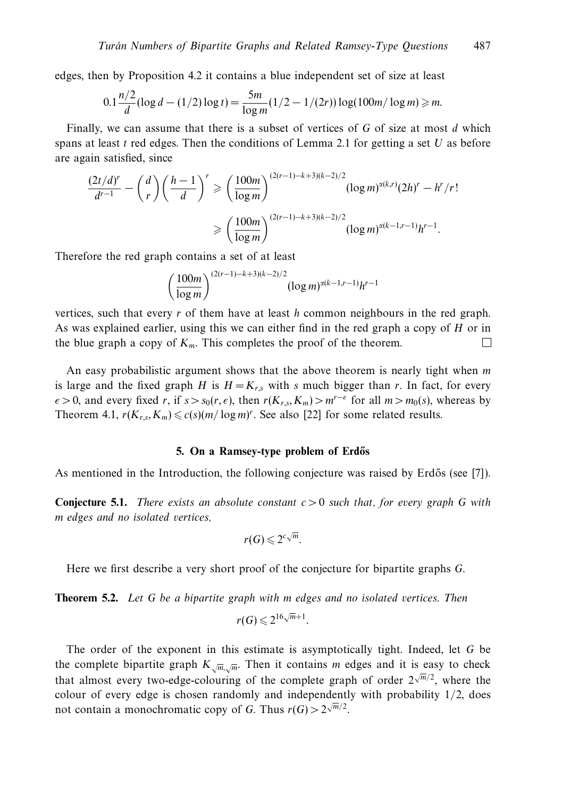edges, then by Proposition 4.2 it contains a blue independent set of size at least

$$
0.1\frac{n/2}{d}(\log d - (1/2)\log t) = \frac{5m}{\log m}(1/2 - 1/(2r))\log(100m/\log m) \ge m.
$$

Finally, we can assume that there is a subset of vertices of *G* of size at most *d* which spans at least *t* red edges. Then the conditions of Lemma 2.1 for getting a set *U* as before are again satisfied, since

$$
\frac{(2t/d)^r}{d^{r-1}} - {d \choose r} \left(\frac{h-1}{d}\right)^r \ge \left(\frac{100m}{\log m}\right)^{(2(r-1)-k+3)(k-2)/2} (\log m)^{\alpha(k,r)} (2h)^r - h^r/r!
$$
  

$$
\ge \left(\frac{100m}{\log m}\right)^{(2(r-1)-k+3)(k-2)/2} (\log m)^{\alpha(k-1,r-1)}h^{r-1}.
$$

Therefore the red graph contains a set of at least

$$
\left(\frac{100m}{\log m}\right)^{(2(r-1)-k+3)(k-2)/2} (\log m)^{\alpha(k-1,r-1)}h^{r-1}
$$

vertices, such that every *r* of them have at least *h* common neighbours in the red graph. As was explained earlier, using this we can either find in the red graph a copy of *H* or in the blue graph a copy of  $K_m$ . This completes the proof of the theorem.  $\Box$ 

An easy probabilistic argument shows that the above theorem is nearly tight when *m* is large and the fixed graph *H* is  $H = K_{r,s}$  with *s* much bigger than *r*. In fact, for every  $\epsilon$  > 0, and every fixed *r*, if *s* > *s*<sub>0</sub>(*r*, $\epsilon$ ), then *r*(*K<sub>r,s</sub>*, *K<sub>m</sub>*) > *m<sup>r−* $\epsilon$ *</sup> for all <i>m* > *m*<sub>0</sub>(*s*), whereas by Theorem 4.1,  $r(K_{r,s}, K_m) \leq c(s)(m/\log m)^r$ . See also [22] for some related results.

#### **5. On a Ramsey-type problem of Erdős**

As mentioned in the Introduction, the following conjecture was raised by Erdős (see [7]).

**Conjecture 5.1.** There exists an absolute constant *c >* 0 such that, for every graph *G* with *m* edges and no isolated vertices,

$$
r(G)\leqslant 2^{c\sqrt{m}}.
$$

Here we first describe a very short proof of the conjecture for bipartite graphs *G*.

**Theorem 5.2.** Let *G* be a bipartite graph with *m* edges and no isolated vertices. Then

$$
r(G) \leqslant 2^{16\sqrt{m}+1}.
$$

The order of the exponent in this estimate is asymptotically tight. Indeed, let *G* be the complete bipartite graph  $K_{\sqrt{m}}/m$ . Then it contains *m* edges and it is easy to check that almost every two-edge-colouring of the complete graph of order  $2^{\sqrt{m}/2}$ , where the colour of every edge is chosen randomly and independently with probability 1*/*2, does not contain a monochromatic copy of *G*. Thus  $r(G) > 2\sqrt{m/2}$ .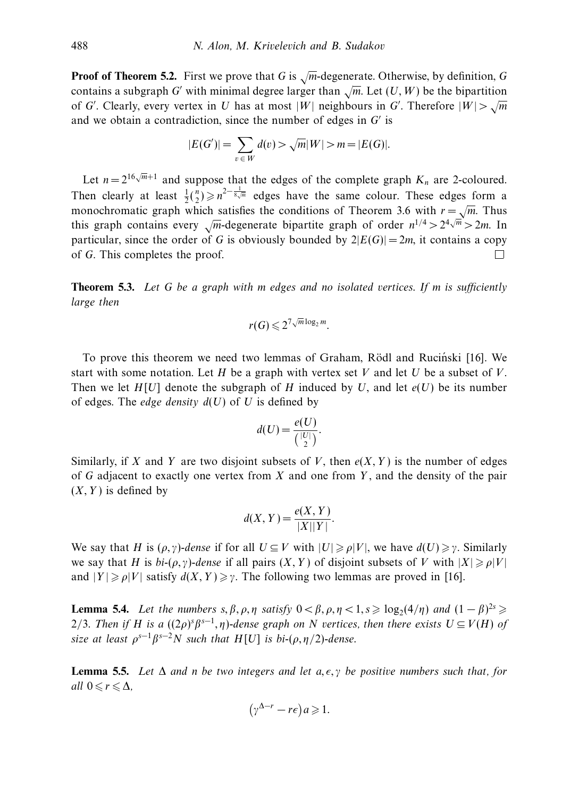**Proof of Theorem 5.2.** First we prove that *<sup>G</sup>* is <sup>√</sup>*m*-degenerate. Otherwise, by definition, *<sup>G</sup>* contains a subgraph *G'* with minimal degree larger than  $\sqrt{m}$ . Let  $(U, W)$  be the bipartition of *G*'. Clearly, every vertex in *U* has at most  $|W|$  neighbours in *G*'. Therefore  $|W| > \sqrt{m}$ and we obtain a contradiction, since the number of edges in *G'* is

$$
|E(G')| = \sum_{v \in W} d(v) > \sqrt{m}|W| > m = |E(G)|.
$$

Let  $n = 2^{16\sqrt{m}+1}$  and suppose that the edges of the complete graph  $K_n$  are 2-coloured. Then clearly at least  $\frac{1}{2} {n \choose 2} \geq n^{2-\frac{1}{8\sqrt{m}}}$  edges have the same colour. These edges form a monochromatic graph which satisfies the conditions of Theorem 3.6 with  $r = \sqrt{m}$ . Thus this graph contains every  $\sqrt{m}$ -degenerate bipartite graph of order  $n^{1/4} > 2^4 \sqrt{m} > 2m$ . In particular, since the order of *G* is obviously bounded by  $2|E(G)| = 2m$ , it contains a copy of *G*. This completes the proof.  $\Box$ 

**Theorem 5.3.** Let *G* be a graph with *m* edges and no isolated vertices. If *m* is sufficiently large then

$$
r(G) \leqslant 2^{7\sqrt{m}\log_2 m}.
$$

To prove this theorem we need two lemmas of Graham, Rödl and Rucinski [16]. We start with some notation. Let *H* be a graph with vertex set *V* and let *U* be a subset of *V*. Then we let  $H[U]$  denote the subgraph of *H* induced by *U*, and let  $e(U)$  be its number of edges. The *edge density*  $d(U)$  of *U* is defined by

$$
d(U) = \frac{e(U)}{\binom{|U|}{2}}.
$$

Similarly, if *X* and *Y* are two disjoint subsets of *V*, then  $e(X, Y)$  is the number of edges of *G* adjacent to exactly one vertex from *X* and one from *Y* , and the density of the pair (*X,Y* ) is defined by

$$
d(X, Y) = \frac{e(X, Y)}{|X||Y|}.
$$

We say that *H* is  $(\rho, \gamma)$ -dense if for all  $U \subseteq V$  with  $|U| \geq \rho |V|$ , we have  $d(U) \geq \gamma$ . Similarly we say that *H* is  $bi-(\rho, \gamma)$ -dense if all pairs  $(X, Y)$  of disjoint subsets of *V* with  $|X| \ge \rho |V|$ and  $|Y| \geq \rho |V|$  satisfy  $d(X, Y) \geq \gamma$ . The following two lemmas are proved in [16].

**Lemma 5.4.** Let the numbers  $s, \beta, \rho, \eta$  satisfy  $0 < \beta, \rho, \eta < 1, s \geqslant \log_2(4/\eta)$  and  $(1 - \beta)^{2s} \geqslant$ 2/3. Then if *H* is a  $((2\rho)^s \beta^{s-1}, \eta)$ -dense graph on *N* vertices, then there exists  $U \subseteq V(H)$  of size at least  $\rho^{s-1}\beta^{s-2}N$  such that  $H[U]$  is bi- $(\rho, \eta/2)$ -dense.

**Lemma 5.5.** Let  $\Delta$  and *n* be two integers and let  $a, \epsilon, \gamma$  be positive numbers such that, for all 0 ≤  $r$  ≤  $\Delta$ ,

$$
(\gamma^{\Delta-r} - r\epsilon)a \geq 1.
$$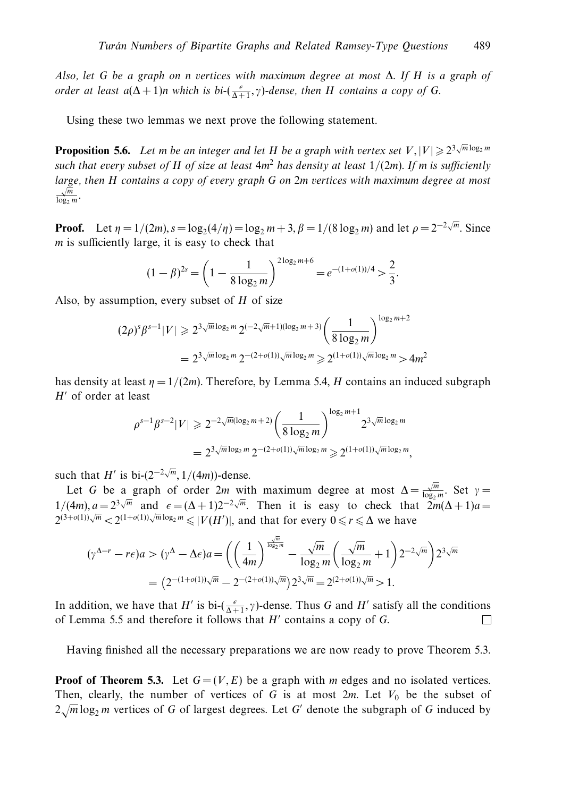Also, let *G* be a graph on *n* vertices with maximum degree at most ∆. If *H* is a graph of order at least  $a(\Delta + 1)n$  which is  $bi \text{-}(\frac{\epsilon}{\Delta + 1}, \gamma)$ -dense, then *H* contains a copy of *G*.

Using these two lemmas we next prove the following statement.

**Proposition 5.6.** Let *m* be an integer and let *H* be a graph with vertex set  $V$ ,  $|V| \ge 2^{3\sqrt{m}\log_2 m}$ such that every subset of *H* of size at least  $4m^2$  has density at least  $1/(2m)$ . If *m* is sufficiently large, then *H* contains a copy of every graph *G* on 2*m* vertices with maximum degree at most  $\frac{\sqrt{m}}{\log_2 m}$ .

**Proof.** Let  $\eta = 1/(2m)$ ,  $s = \log_2(4/\eta) = \log_2 m + 3$ ,  $\beta = 1/(8 \log_2 m)$  and let  $\rho = 2^{-2\sqrt{m}}$ . Since *m* is sufficiently large, it is easy to check that

$$
(1 - \beta)^{2s} = \left(1 - \frac{1}{8 \log_2 m}\right)^{2 \log_2 m + 6} = e^{-(1 + o(1))/4} > \frac{2}{3}.
$$

Also, by assumption, every subset of *H* of size

$$
(2\rho)^s \beta^{s-1} |V| \ge 2^{3\sqrt{m}\log_2 m} 2^{(-2\sqrt{m}+1)(\log_2 m + 3)} \left(\frac{1}{8\log_2 m}\right)^{\log_2 m + 2}
$$
  
=  $2^{3\sqrt{m}\log_2 m} 2^{-(2+o(1))\sqrt{m}\log_2 m} \ge 2^{(1+o(1))\sqrt{m}\log_2 m} > 4m^2$ 

has density at least  $\eta = 1/(2m)$ . Therefore, by Lemma 5.4, *H* contains an induced subgraph *H'* of order at least

$$
\rho^{s-1}\beta^{s-2}|V| \ge 2^{-2\sqrt{m}(\log_2 m + 2)} \left(\frac{1}{8\log_2 m}\right)^{\log_2 m + 1} 2^{3\sqrt{m}\log_2 m}
$$
  
=  $2^3\sqrt{m}\log_2 m 2^{-(2+o(1))\sqrt{m}\log_2 m} \ge 2^{(1+o(1))\sqrt{m}\log_2 m}$ ,

such that *H'* is bi- $(2^{-2\sqrt{m}}, 1/(4m))$ -dense.

Let *G* be a graph of order 2*m* with maximum degree at most  $\Delta = \frac{\sqrt{m}}{\log_2 m}$ . Set  $\gamma =$ 1/(4*m*),  $a = 2^{3\sqrt{m}}$  and  $\epsilon = (\Delta + 1)2^{-2\sqrt{m}}$ . Then it is easy to check that  $2m(\Delta + 1)a =$  $2^{(3+o(1))\sqrt{m}} < 2^{(1+o(1))\sqrt{m}\log_2 m} \le |V(H')|$ , and that for every  $0 \le r \le \Delta$  we have

$$
(\gamma^{\Delta-r} - r\epsilon)a > (\gamma^{\Delta} - \Delta\epsilon)a = \left( \left( \frac{1}{4m} \right)^{\frac{\sqrt{m}}{\log_2 m}} - \frac{\sqrt{m}}{\log_2 m} \left( \frac{\sqrt{m}}{\log_2 m} + 1 \right) 2^{-2\sqrt{m}} \right) 2^{3\sqrt{m}}
$$
  
=  $(2^{-(1+o(1))}\sqrt{m} - 2^{-(2+o(1))}\sqrt{m}) 2^{3\sqrt{m}} = 2^{(2+o(1))}\sqrt{m} > 1.$ 

In addition, we have that *H'* is bi- $(\frac{\epsilon}{\Delta+1}, \gamma)$ -dense. Thus *G* and *H'* satisfy all the conditions of Lemma 5.5 and therefore it follows that *H'* contains a copy of *G*. □

Having finished all the necessary preparations we are now ready to prove Theorem 5.3.

**Proof of Theorem 5.3.** Let  $G = (V, E)$  be a graph with *m* edges and no isolated vertices. Then, clearly, the number of vertices of *G* is at most  $2m$ . Let  $V_0$  be the subset of  $2\sqrt{m}\log_2 m$  vertices of *G* of largest degrees. Let *G'* denote the subgraph of *G* induced by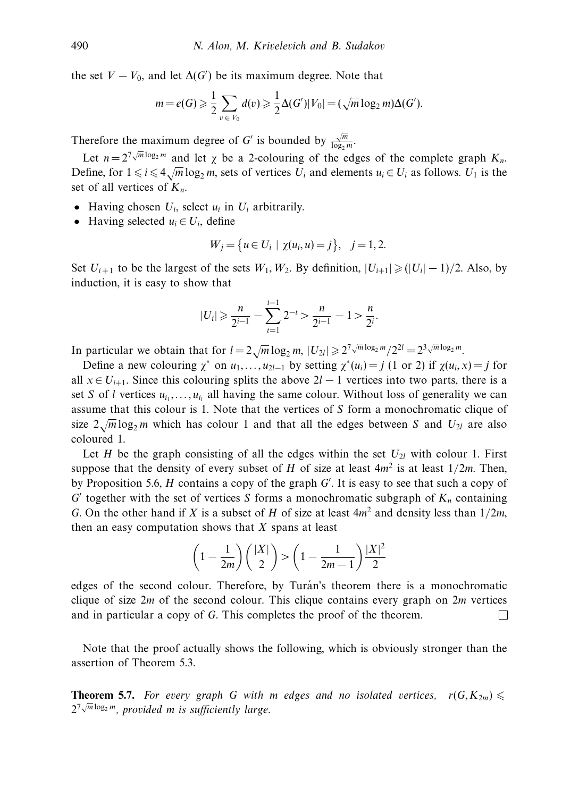the set  $V - V_0$ , and let  $\Delta(G')$  be its maximum degree. Note that

$$
m = e(G) \ge \frac{1}{2} \sum_{v \in V_0} d(v) \ge \frac{1}{2} \Delta(G') |V_0| = (\sqrt{m} \log_2 m) \Delta(G').
$$

Therefore the maximum degree of *G'* is bounded by  $\frac{\sqrt{m}}{\log_2 m}$ .

Let  $n = 2^{\frac{7}{N} \sqrt{m} \log_2 m}$  and let  $\chi$  be a 2-colouring of the edges of the complete graph  $K_n$ . Define, for  $1 \le i \le 4\sqrt{m} \log_2 m$ , sets of vertices *U<sub>i</sub>* and elements  $u_i \in U_i$  as follows. *U*<sub>1</sub> is the set of all vertices of *Kn*.

- Having chosen  $U_i$ , select  $u_i$  in  $U_i$  arbitrarily.
- Having selected  $u_i \in U_i$ , define

$$
W_j = \{ u \in U_i \mid \chi(u_i, u) = j \}, \quad j = 1, 2.
$$

Set  $U_{i+1}$  to be the largest of the sets  $W_1, W_2$ . By definition,  $|U_{i+1}| \geq (|U_i| - 1)/2$ . Also, by induction, it is easy to show that

$$
|U_i| \geqslant \frac{n}{2^{i-1}} - \sum_{t=1}^{i-1} 2^{-t} > \frac{n}{2^{i-1}} - 1 > \frac{n}{2^i}.
$$

In particular we obtain that for  $l = 2\sqrt{m} \log_2 m$ ,  $|U_{2l}| \ge 2^{7\sqrt{m} \log_2 m}/2^{2l} = 2^{3\sqrt{m} \log_2 m}$ .

Define a new colouring  $\chi^*$  on  $u_1, \ldots, u_{2l-1}$  by setting  $\chi^*(u_i) = j$  (1 or 2) if  $\chi(u_i, x) = j$  for all  $x \in U_{i+1}$ . Since this colouring splits the above  $2*l* - 1$  vertices into two parts, there is a set *S* of *l* vertices  $u_i$ ,..., $u_i$  all having the same colour. Without loss of generality we can assume that this colour is 1. Note that the vertices of *S* form a monochromatic clique of size  $2\sqrt{m}\log_2 m$  which has colour 1 and that all the edges between *S* and  $U_{2l}$  are also coloured 1.

Let *H* be the graph consisting of all the edges within the set  $U_{2l}$  with colour 1. First suppose that the density of every subset of *H* of size at least  $4m^2$  is at least  $1/2m$ . Then, by Proposition 5.6, *H* contains a copy of the graph *G* . It is easy to see that such a copy of  $G'$  together with the set of vertices *S* forms a monochromatic subgraph of  $K_n$  containing *G*. On the other hand if *X* is a subset of *H* of size at least 4*m*<sup>2</sup> and density less than 1*/*2*m*, then an easy computation shows that *X* spans at least

$$
\left(1 - \frac{1}{2m}\right) \binom{|X|}{2} > \left(1 - \frac{1}{2m - 1}\right) \frac{|X|^2}{2}
$$

edges of the second colour. Therefore, by Turán's theorem there is a monochromatic clique of size 2*m* of the second colour. This clique contains every graph on 2*m* vertices and in particular a copy of *G*. This completes the proof of the theorem. □

Note that the proof actually shows the following, which is obviously stronger than the assertion of Theorem 5.3.

**Theorem 5.7.** For every graph G with *m* edges and no isolated vertices,  $r(G, K_{2m}) \leq$  $2^{7\sqrt{m}\log_{2}m}$ , provided *m* is sufficiently large.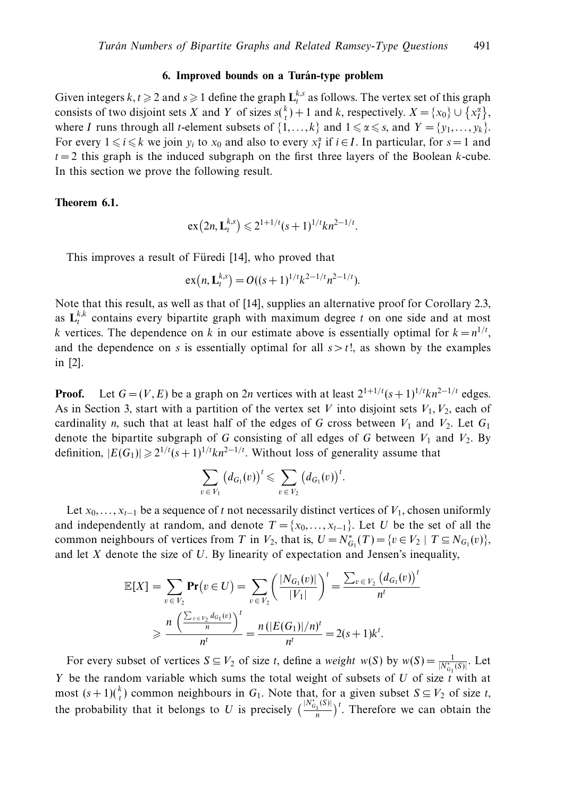#### **6. Improved bounds on a Turan-type problem ´**

Given integers  $k, t \geq 2$  and  $s \geq 1$  define the graph  $\mathbf{L}_{t}^{k,s}$  as follows. The vertex set of this graph consists of two disjoint sets *X* and *Y* of sizes  $s\binom{k}{t} + 1$  and *k*, respectively.  $X = \{x_0\} \cup \{x_1^{\alpha}\}\,$ where *I* runs through all *t*-element subsets of  $\{1,\ldots,k\}$  and  $1 \leq \alpha \leq s$ , and  $Y = \{y_1,\ldots,y_k\}$ . For every  $1 \le i \le k$  we join  $y_i$  to  $x_0$  and also to every  $x_i^{\alpha}$  if  $i \in I$ . In particular, for  $s = 1$  and  $t = 2$  this graph is the induced subgraph on the first three layers of the Boolean *k*-cube. In this section we prove the following result.

## **Theorem 6.1.**

$$
\mathrm{ex}(2n,\mathbf{L}_{t}^{k,s})\leq 2^{1+1/t}(s+1)^{1/t}kn^{2-1/t}.
$$

This improves a result of Füredi [14], who proved that

$$
\mathrm{ex}(n,\mathbf{L}_t^{k,s})=O((s+1)^{1/t}k^{2-1/t}n^{2-1/t}).
$$

Note that this result, as well as that of [14], supplies an alternative proof for Corollary 2.3, as  $\mathbf{L}_{t}^{k,k}$  contains every bipartite graph with maximum degree *t* on one side and at most *k* vertices. The dependence on *k* in our estimate above is essentially optimal for  $k = n^{1/t}$ , and the dependence on *s* is essentially optimal for all  $s > t!$ , as shown by the examples in [2].

**Proof.** Let  $G = (V, E)$  be a graph on 2*n* vertices with at least  $2^{1+1/t}(s+1)^{1/t}kn^{2-1/t}$  edges. As in Section 3, start with a partition of the vertex set *V* into disjoint sets  $V_1, V_2$ , each of cardinality *n*, such that at least half of the edges of *G* cross between  $V_1$  and  $V_2$ . Let  $G_1$ denote the bipartite subgraph of *G* consisting of all edges of *G* between  $V_1$  and  $V_2$ . By definition,  $|E(G_1)| \ge 2^{1/t} (s+1)^{1/t} k n^{2-1/t}$ . Without loss of generality assume that

$$
\sum_{v \in V_1} \big(d_{G_1}(v)\big)^t \leqslant \sum_{v \in V_2} \big(d_{G_1}(v)\big)^t.
$$

Let  $x_0, \ldots, x_{t-1}$  be a sequence of *t* not necessarily distinct vertices of  $V_1$ , chosen uniformly and independently at random, and denote  $T = \{x_0, \ldots, x_{t-1}\}$ . Let *U* be the set of all the common neighbours of vertices from *T* in  $V_2$ , that is,  $U = N_{G_1}^*(T) = \{v \in V_2 \mid T \subseteq N_{G_1}(v)\},\$ and let *X* denote the size of *U*. By linearity of expectation and Jensen's inequality,

$$
\mathbb{E}[X] = \sum_{v \in V_2} \mathbf{Pr}(v \in U) = \sum_{v \in V_2} \left(\frac{|N_{G_1}(v)|}{|V_1|}\right)^t = \frac{\sum_{v \in V_2} (d_{G_1}(v))}{n^t}
$$

$$
\geqslant \frac{n\left(\frac{\sum_{v \in V_2} d_{G_1}(v)}{n}\right)^t}{n^t} = \frac{n(|E(G_1)|/n)^t}{n^t} = 2(s+1)k^t.
$$

For every subset of vertices  $S \subseteq V_2$  of size *t*, define a *weight*  $w(S)$  by  $w(S) = \frac{1}{|N^*_{G_1}(S)|}$ . Let *Y* be the random variable which sums the total weight of subsets of *U* of size *t* with at most  $(s+1)\binom{k}{t}$  common neighbours in  $G_1$ . Note that, for a given subset  $S \subseteq V_2$  of size *t*, the probability that it belongs to *U* is precisely  $\left(\frac{|N_{G_1}^*(S)|}{n}\right)$  $\frac{f(x)}{f(x)}$ <sup>t</sup>. Therefore we can obtain the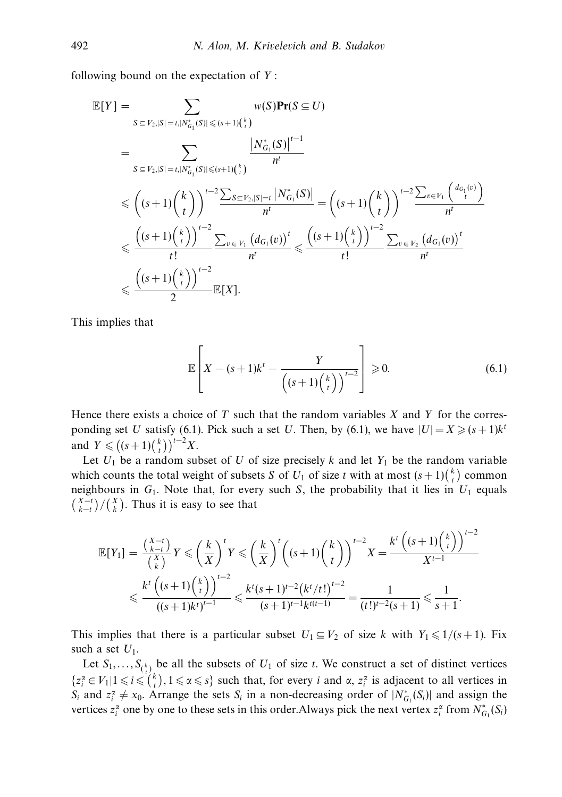following bound on the expectation of *Y* :

$$
\mathbb{E}[Y] = \sum_{S \subseteq V_2, |S| = t, |N_{G_1}^*(S)| \le (s+1)\binom{k}{t}} w(S) \mathbf{Pr}(S \subseteq U)
$$
\n
$$
= \sum_{S \subseteq V_2, |S| = t, |N_{G_1}^*(S)| \le (s+1)\binom{k}{t}} \frac{|N_{G_1}^*(S)|^{t-1}}{n^t}
$$
\n
$$
\le \left( (s+1) \binom{k}{t} \right)^{t-2} \frac{\sum_{S \subseteq V_2, |S| = t} |N_{G_1}^*(S)|}{n^t} = \left( (s+1) \binom{k}{t} \right)^{t-2} \frac{\sum_{v \in V_1} {d_{G_1}(v)}}{n^t}
$$
\n
$$
\le \frac{\left( (s+1) \binom{k}{t} \right)^{t-2}}{t!} \frac{\sum_{v \in V_1} (d_{G_1}(v))^t}{n^t} \le \frac{\left( (s+1) \binom{k}{t} \right)^{t-2}}{t!} \frac{\sum_{v \in V_2} (d_{G_1}(v))^t}{n^t}
$$
\n
$$
\le \frac{\left( (s+1) \binom{k}{t} \right)^{t-2}}{2} \mathbb{E}[X].
$$

This implies that

$$
\mathbb{E}\left[X - (s+1)k^t - \frac{Y}{\left((s+1)\binom{k}{t}\right)^{t-2}}\right] \ge 0.
$$
\n(6.1)

Hence there exists a choice of *T* such that the random variables *X* and *Y* for the corresponding set *U* satisfy (6.1). Pick such a set *U*. Then, by (6.1), we have  $|U| = X \geq (s+1)k^t$ and  $Y \leq (s+1) {k \choose t}^{t-2} X$ .

Let  $U_1$  be a random subset of *U* of size precisely *k* and let  $Y_1$  be the random variable which counts the total weight of subsets *S* of  $U_1$  of size *t* with at most  $(s+1)\binom{k}{t}$  common neighbours in  $G_1$ . Note that, for every such *S*, the probability that it lies in  $U_1$  equals  $\binom{X-t}{k-t}$  / $\binom{X}{k}$ . Thus it is easy to see that

$$
\mathbb{E}[Y_1] = \frac{\binom{X-t}{k-t}}{\binom{X}{k}} Y \le \left(\frac{k}{X}\right)^t Y \le \left(\frac{k}{X}\right)^t \left((s+1)\binom{k}{t}\right)^{t-2} X = \frac{k^t \left((s+1)\binom{k}{t}\right)^{t-2}}{X^{t-1}}
$$
  

$$
\le \frac{k^t \left((s+1)\binom{k}{t}\right)^{t-2}}{((s+1)k^t)^{t-1}} \le \frac{k^t (s+1)^{t-2} \left(k^t / t!\right)^{t-2}}{(s+1)^{t-1} k^{t(t-1)}} = \frac{1}{(t!)^{t-2} (s+1)} \le \frac{1}{s+1}.
$$

This implies that there is a particular subset  $U_1 \subseteq V_2$  of size *k* with  $Y_1 \leq 1/(s+1)$ . Fix such a set  $U_1$ .

Let  $S_1, \ldots, S_{\binom{k}{t}}$  be all the subsets of  $U_1$  of size *t*. We construct a set of distinct vertices  $\{z_i^{\alpha} \in V_1 | 1 \leq i \leq {k \choose t}, 1 \leq \alpha \leq s\}$  such that, for every *i* and  $\alpha$ ,  $z_i^{\alpha}$  is adjacent to all vertices in *S<sub>i</sub>* and  $z_i^{\alpha} \neq x_0$ . Arrange the sets *S<sub>i</sub>* in a non-decreasing order of  $|N_{G_1}^*(S_i)|$  and assign the vertices  $z_i^{\alpha}$  one by one to these sets in this order. Always pick the next vertex  $z_i^{\alpha}$  from  $N_{G_1}^*(S_i)$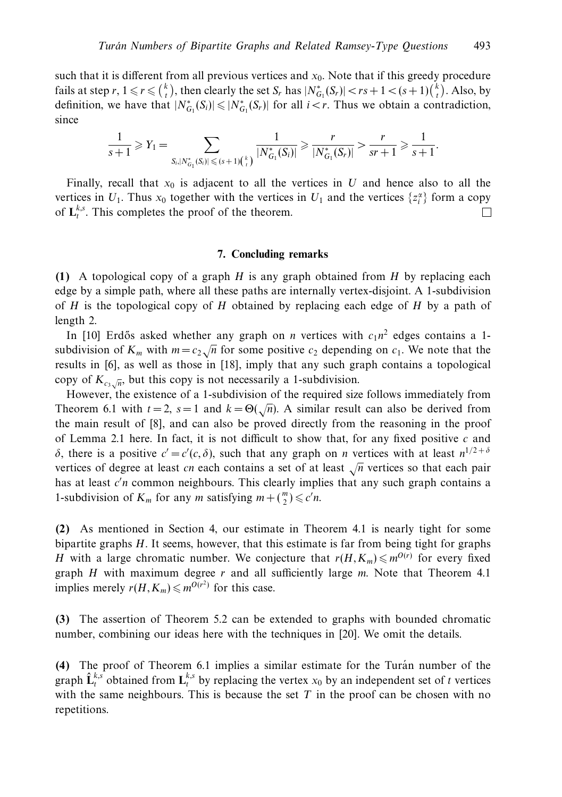such that it is different from all previous vertices and *x*0. Note that if this greedy procedure fails at step  $r, 1 \leq r \leq {k \choose t}$ , then clearly the set  $S_r$  has  $|N^*_{G_1}(S_r)| < rs + 1 < (s+1){k \choose t}$ . Also, by definition, we have that  $|N^*_{G_1}(S_i)| \leq |N^*_{G_1}(S_r)|$  for all  $i < r$ . Thus we obtain a contradiction, since

$$
\frac{1}{s+1} \geq Y_1 = \sum_{S_i, |N^*_{G_1}(S_i)| \leqslant (s+1) {k \choose t}} \frac{1}{|N^*_{G_1}(S_i)|} \geqslant \frac{r}{|N^*_{G_1}(S_r)|} > \frac{r}{sr+1} \geqslant \frac{1}{s+1}.
$$

Finally, recall that  $x_0$  is adjacent to all the vertices in *U* and hence also to all the vertices in  $U_1$ . Thus  $x_0$  together with the vertices in  $U_1$  and the vertices  $\{z_i^{\alpha}\}\$  form a copy of  $\mathbf{L}_{t}^{k,s}$ . This completes the proof of the theorem. П

#### **7. Concluding remarks**

**(1)** A topological copy of a graph *H* is any graph obtained from *H* by replacing each edge by a simple path, where all these paths are internally vertex-disjoint. A 1-subdivision of *H* is the topological copy of *H* obtained by replacing each edge of *H* by a path of length 2.

In [10] Erdős asked whether any graph on *n* vertices with  $c_1n^2$  edges contains a 1subdivision of  $K_m$  with  $m = c_2 \sqrt{n}$  for some positive  $c_2$  depending on  $c_1$ . We note that the results in [6], as well as those in [18], imply that any such graph contains a topological copy of  $K_{c_3\sqrt{n}}$ , but this copy is not necessarily a 1-subdivision.

However, the existence of a 1-subdivision of the required size follows immediately from Theorem 6.1 with  $t = 2$ ,  $s = 1$  and  $k = \Theta(\sqrt{n})$ . A similar result can also be derived from the main result of [8], and can also be proved directly from the reasoning in the proof of Lemma 2.1 here. In fact, it is not difficult to show that, for any fixed positive *c* and *δ*, there is a positive  $c' = c'(c, δ)$ , such that any graph on *n* vertices with at least  $n^{1/2 + δ}$ vertices of degree at least *cn* each contains a set of at least <sup>√</sup>*<sup>n</sup>* vertices so that each pair has at least *c'n* common neighbours. This clearly implies that any such graph contains a 1-subdivision of  $K_m$  for any *m* satisfying  $m + \binom{m}{2} \leq c'n$ .

**(2)** As mentioned in Section 4, our estimate in Theorem 4.1 is nearly tight for some bipartite graphs *H*. It seems, however, that this estimate is far from being tight for graphs *H* with a large chromatic number. We conjecture that  $r(H,K_m) \leq m^{O(r)}$  for every fixed graph *H* with maximum degree *r* and all sufficiently large *m*. Note that Theorem 4.1 implies merely  $r(H,K_m) \leq m^{O(r^2)}$  for this case.

**(3)** The assertion of Theorem 5.2 can be extended to graphs with bounded chromatic number, combining our ideas here with the techniques in [20]. We omit the details.

**(4)** The proof of Theorem 6.1 implies a similar estimate for the Turan number of the ´ graph  $\hat{\mathbf{L}}_t^{k,s}$  obtained from  $\mathbf{L}_t^{k,s}$  by replacing the vertex  $x_0$  by an independent set of *t* vertices with the same neighbours. This is because the set  $T$  in the proof can be chosen with no repetitions.